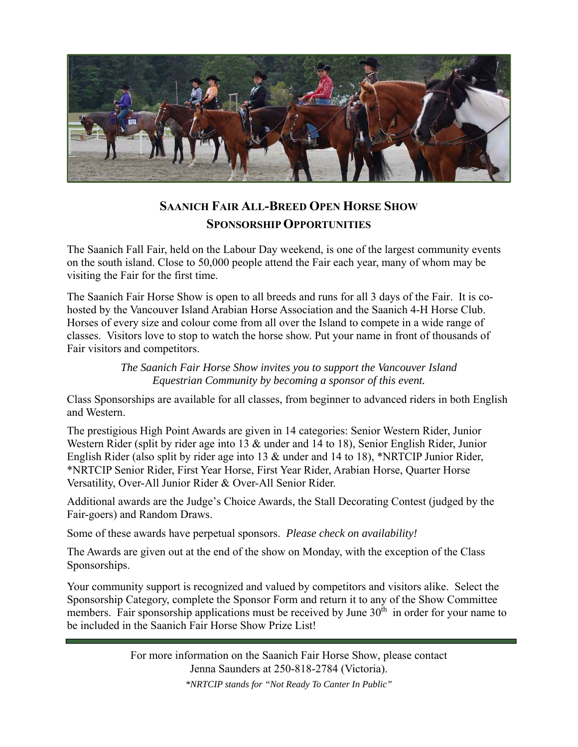

# **SAANICH FAIR ALL-BREED OPEN HORSE SHOW SPONSORSHIP OPPORTUNITIES**

The Saanich Fall Fair, held on the Labour Day weekend, is one of the largest community events on the south island. Close to 50,000 people attend the Fair each year, many of whom may be visiting the Fair for the first time.

The Saanich Fair Horse Show is open to all breeds and runs for all 3 days of the Fair. It is cohosted by the Vancouver Island Arabian Horse Association and the Saanich 4-H Horse Club. Horses of every size and colour come from all over the Island to compete in a wide range of classes. Visitors love to stop to watch the horse show. Put your name in front of thousands of Fair visitors and competitors.

> *The Saanich Fair Horse Show invites you to support the Vancouver Island Equestrian Community by becoming a sponsor of this event.*

Class Sponsorships are available for all classes, from beginner to advanced riders in both English and Western.

The prestigious High Point Awards are given in 14 categories: Senior Western Rider, Junior Western Rider (split by rider age into 13 & under and 14 to 18), Senior English Rider, Junior English Rider (also split by rider age into 13 & under and 14 to 18), \*NRTCIP Junior Rider, \*NRTCIP Senior Rider, First Year Horse, First Year Rider, Arabian Horse, Quarter Horse Versatility, Over-All Junior Rider & Over-All Senior Rider.

Additional awards are the Judge's Choice Awards, the Stall Decorating Contest (judged by the Fair-goers) and Random Draws.

Some of these awards have perpetual sponsors. *Please check on availability!*

The Awards are given out at the end of the show on Monday, with the exception of the Class Sponsorships.

Your community support is recognized and valued by competitors and visitors alike. Select the Sponsorship Category, complete the Sponsor Form and return it to any of the Show Committee members. Fair sponsorship applications must be received by June 30<sup>th</sup> in order for your name to be included in the Saanich Fair Horse Show Prize List!

> For more information on the Saanich Fair Horse Show, please contact Jenna Saunders at 250-818-2784 (Victoria).

> > *\*NRTCIP stands for "Not Ready To Canter In Public"*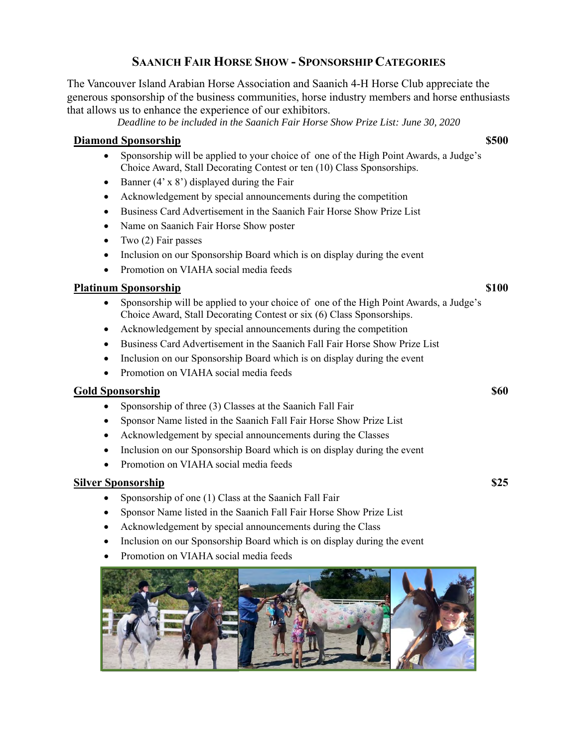## **SAANICH FAIR HORSE SHOW - SPONSORSHIP CATEGORIES**

The Vancouver Island Arabian Horse Association and Saanich 4-H Horse Club appreciate the generous sponsorship of the business communities, horse industry members and horse enthusiasts that allows us to enhance the experience of our exhibitors.

*Deadline to be included in the Saanich Fair Horse Show Prize List: June 30, 2020* 

### **Diamond Sponsorship**  $\qquad$  **\$500**

- Sponsorship will be applied to your choice of one of the High Point Awards, a Judge's Choice Award, Stall Decorating Contest or ten (10) Class Sponsorships.
- Banner  $(4' \times 8')$  displayed during the Fair
- Acknowledgement by special announcements during the competition
- Business Card Advertisement in the Saanich Fair Horse Show Prize List
- Name on Saanich Fair Horse Show poster
- Two  $(2)$  Fair passes
- Inclusion on our Sponsorship Board which is on display during the event
- Promotion on VIAHA social media feeds

### **Platinum Sponsorship**  $\bullet$  **\$100**  $\bullet$  **\$100**  $\bullet$  **\$100**  $\bullet$  **\$100**  $\bullet$  **\$100**  $\bullet$  **\$100**  $\bullet$  **\$100**  $\bullet$  **\$100**  $\bullet$  **\$100**  $\bullet$  **\$100**  $\bullet$  **\$100**  $\bullet$  **\$100**  $\bullet$  **\$100**  $\bullet$  **\$100**  $\bullet$  **\$100**  $\bullet$  **\$100**  $\bullet$  **\$100**  $\bullet$  **\$100**  $\bullet$  **\$100**  $\bullet$  **\$100**

- Sponsorship will be applied to your choice of one of the High Point Awards, a Judge's Choice Award, Stall Decorating Contest or six (6) Class Sponsorships.
- Acknowledgement by special announcements during the competition
- Business Card Advertisement in the Saanich Fall Fair Horse Show Prize List
- Inclusion on our Sponsorship Board which is on display during the event
- Promotion on VIAHA social media feeds

#### **Gold Sponsorship \$60**

- Sponsorship of three (3) Classes at the Saanich Fall Fair
- Sponsor Name listed in the Saanich Fall Fair Horse Show Prize List
- Acknowledgement by special announcements during the Classes
- Inclusion on our Sponsorship Board which is on display during the event
- Promotion on VIAHA social media feeds

#### **Silver Sponsorship \$25**

- Sponsorship of one (1) Class at the Saanich Fall Fair
- Sponsor Name listed in the Saanich Fall Fair Horse Show Prize List
- Acknowledgement by special announcements during the Class
- Inclusion on our Sponsorship Board which is on display during the event
- Promotion on VIAHA social media feeds